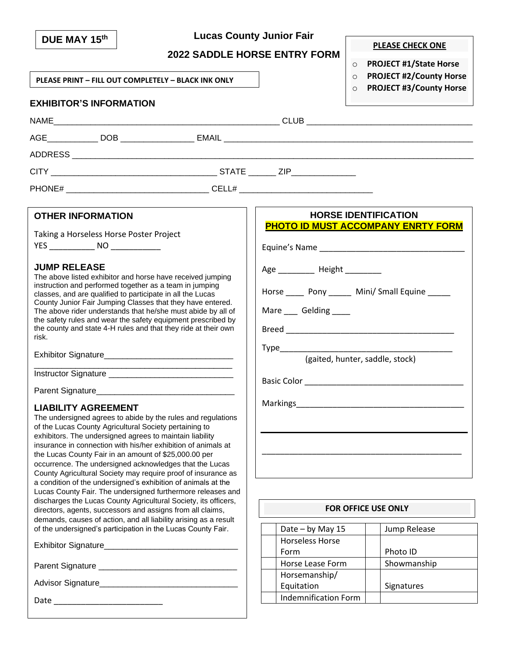| DUE MAY 15th                                                                                                                                                                                                                                                                                                                                                                                                                                                                                                                                                                             |                                                                                                                                                                                                                                                                                                                                                                                                                                                                                                                                                                                                                                                                | <b>Lucas County Junior Fair</b>                                                                                                                                                                                              | <b>PLEASE CHECK ONE</b>                                                                                                             |
|------------------------------------------------------------------------------------------------------------------------------------------------------------------------------------------------------------------------------------------------------------------------------------------------------------------------------------------------------------------------------------------------------------------------------------------------------------------------------------------------------------------------------------------------------------------------------------------|----------------------------------------------------------------------------------------------------------------------------------------------------------------------------------------------------------------------------------------------------------------------------------------------------------------------------------------------------------------------------------------------------------------------------------------------------------------------------------------------------------------------------------------------------------------------------------------------------------------------------------------------------------------|------------------------------------------------------------------------------------------------------------------------------------------------------------------------------------------------------------------------------|-------------------------------------------------------------------------------------------------------------------------------------|
|                                                                                                                                                                                                                                                                                                                                                                                                                                                                                                                                                                                          |                                                                                                                                                                                                                                                                                                                                                                                                                                                                                                                                                                                                                                                                | <b>2022 SADDLE HORSE ENTRY FORM</b>                                                                                                                                                                                          |                                                                                                                                     |
| PLEASE PRINT - FILL OUT COMPLETELY - BLACK INK ONLY                                                                                                                                                                                                                                                                                                                                                                                                                                                                                                                                      |                                                                                                                                                                                                                                                                                                                                                                                                                                                                                                                                                                                                                                                                |                                                                                                                                                                                                                              | <b>PROJECT #1/State Horse</b><br>$\circ$<br><b>PROJECT #2/County Horse</b><br>$\Omega$<br><b>PROJECT #3/County Horse</b><br>$\circ$ |
| <b>EXHIBITOR'S INFORMATION</b>                                                                                                                                                                                                                                                                                                                                                                                                                                                                                                                                                           |                                                                                                                                                                                                                                                                                                                                                                                                                                                                                                                                                                                                                                                                |                                                                                                                                                                                                                              |                                                                                                                                     |
|                                                                                                                                                                                                                                                                                                                                                                                                                                                                                                                                                                                          |                                                                                                                                                                                                                                                                                                                                                                                                                                                                                                                                                                                                                                                                |                                                                                                                                                                                                                              |                                                                                                                                     |
|                                                                                                                                                                                                                                                                                                                                                                                                                                                                                                                                                                                          |                                                                                                                                                                                                                                                                                                                                                                                                                                                                                                                                                                                                                                                                |                                                                                                                                                                                                                              |                                                                                                                                     |
|                                                                                                                                                                                                                                                                                                                                                                                                                                                                                                                                                                                          |                                                                                                                                                                                                                                                                                                                                                                                                                                                                                                                                                                                                                                                                |                                                                                                                                                                                                                              |                                                                                                                                     |
|                                                                                                                                                                                                                                                                                                                                                                                                                                                                                                                                                                                          |                                                                                                                                                                                                                                                                                                                                                                                                                                                                                                                                                                                                                                                                |                                                                                                                                                                                                                              |                                                                                                                                     |
|                                                                                                                                                                                                                                                                                                                                                                                                                                                                                                                                                                                          |                                                                                                                                                                                                                                                                                                                                                                                                                                                                                                                                                                                                                                                                |                                                                                                                                                                                                                              |                                                                                                                                     |
| <b>OTHER INFORMATION</b><br>Taking a Horseless Horse Poster Project<br><b>JUMP RELEASE</b><br>The above listed exhibitor and horse have received jumping<br>instruction and performed together as a team in jumping<br>classes, and are qualified to participate in all the Lucas<br>County Junior Fair Jumping Classes that they have entered.<br>The above rider understands that he/she must abide by all of<br>the safety rules and wear the safety equipment prescribed by<br>the county and state 4-H rules and that they ride at their own<br>risk.<br><b>LIABILITY AGREEMENT</b> |                                                                                                                                                                                                                                                                                                                                                                                                                                                                                                                                                                                                                                                                | <b>HORSE IDENTIFICATION</b><br><b>PHOTO ID MUST ACCOMPANY ENRTY FORM</b><br>Age Height<br>Horse _______ Pony ________ Mini/ Small Equine ______<br>Mare ____ Gelding _____<br>(gaited, hunter, saddle, stock)<br>Basic Color |                                                                                                                                     |
| of the Lucas County Agricultural Society pertaining to<br>exhibitors. The undersigned agrees to maintain liability<br>the Lucas County Fair in an amount of \$25,000.00 per                                                                                                                                                                                                                                                                                                                                                                                                              | The undersigned agrees to abide by the rules and regulations<br>insurance in connection with his/her exhibition of animals at<br>occurrence. The undersigned acknowledges that the Lucas<br>County Agricultural Society may require proof of insurance as<br>a condition of the undersigned's exhibition of animals at the<br>Lucas County Fair. The undersigned furthermore releases and<br>discharges the Lucas County Agricultural Society, its officers,<br>directors, agents, successors and assigns from all claims,<br>demands, causes of action, and all liability arising as a result<br>of the undersigned's participation in the Lucas County Fair. | Date $-$ by May 15<br><b>Horseless Horse</b><br>Form<br>Horse Lease Form<br>Horsemanship/<br>Equitation                                                                                                                      | <b>FOR OFFICE USE ONLY</b><br>Jump Release<br>Photo ID<br>Showmanship<br>Signatures                                                 |
|                                                                                                                                                                                                                                                                                                                                                                                                                                                                                                                                                                                          |                                                                                                                                                                                                                                                                                                                                                                                                                                                                                                                                                                                                                                                                | <b>Indemnification Form</b>                                                                                                                                                                                                  |                                                                                                                                     |
|                                                                                                                                                                                                                                                                                                                                                                                                                                                                                                                                                                                          |                                                                                                                                                                                                                                                                                                                                                                                                                                                                                                                                                                                                                                                                |                                                                                                                                                                                                                              |                                                                                                                                     |